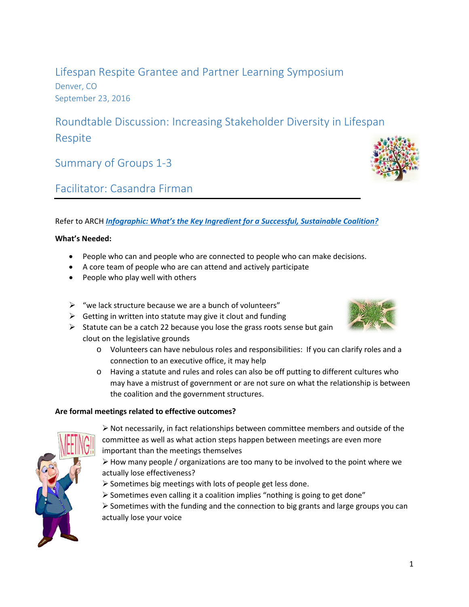Lifespan Respite Grantee and Partner Learning Symposium Denver, CO September 23, 2016

Roundtable Discussion: Increasing Stakeholder Diversity in Lifespan Respite

Summary of Groups 1-3

# Facilitator: Casandra Firman

# Refer to ARCH *Infographic: What's the Key Ingredient [for a Successful, Sustainable Coalition?](http://www.lifespanrespite.memberlodge.org/resources/Documents/Grantee_Symposium_2016/Handouts/Checklist_infographic_web.pdf)*

# **What's Needed:**

- People who can and people who are connected to people who can make decisions.
- A core team of people who are can attend and actively participate
- People who play well with others
- $\triangleright$  "we lack structure because we are a bunch of volunteers"
- $\triangleright$  Getting in written into statute may give it clout and funding
- $\triangleright$  Statute can be a catch 22 because you lose the grass roots sense but gain clout on the legislative grounds
	- o Volunteers can have nebulous roles and responsibilities: If you can clarify roles and a connection to an executive office, it may help
	- o Having a statute and rules and roles can also be off putting to different cultures who may have a mistrust of government or are not sure on what the relationship is between the coalition and the government structures.

# **Are formal meetings related to effective outcomes?**

- $\triangleright$  Not necessarily, in fact relationships between committee members and outside of the committee as well as what action steps happen between meetings are even more important than the meetings themselves
- $\triangleright$  How many people / organizations are too many to be involved to the point where we actually lose effectiveness?
- $\triangleright$  Sometimes big meetings with lots of people get less done.
- Sometimes even calling it a coalition implies "nothing is going to get done"
- $\triangleright$  Sometimes with the funding and the connection to big grants and large groups you can actually lose your voice







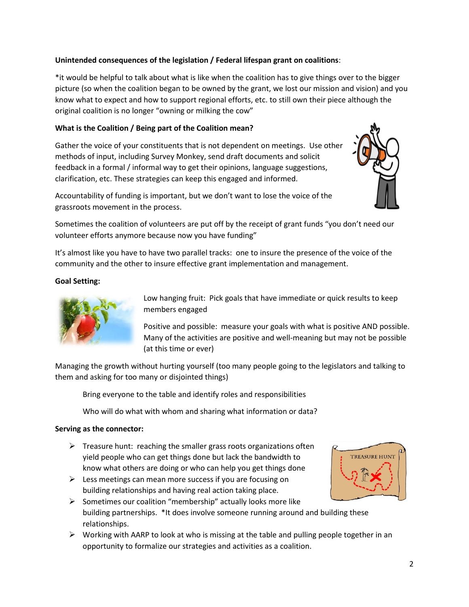# **Unintended consequences of the legislation / Federal lifespan grant on coalitions**:

\*it would be helpful to talk about what is like when the coalition has to give things over to the bigger picture (so when the coalition began to be owned by the grant, we lost our mission and vision) and you know what to expect and how to support regional efforts, etc. to still own their piece although the original coalition is no longer "owning or milking the cow"

# **What is the Coalition / Being part of the Coalition mean?**

Gather the voice of your constituents that is not dependent on meetings. Use other methods of input, including Survey Monkey, send draft documents and solicit feedback in a formal / informal way to get their opinions, language suggestions, clarification, etc. These strategies can keep this engaged and informed.



Accountability of funding is important, but we don't want to lose the voice of the grassroots movement in the process.

Sometimes the coalition of volunteers are put off by the receipt of grant funds "you don't need our volunteer efforts anymore because now you have funding"

It's almost like you have to have two parallel tracks: one to insure the presence of the voice of the community and the other to insure effective grant implementation and management.

### **Goal Setting:**



Low hanging fruit: Pick goals that have immediate or quick results to keep members engaged

Positive and possible: measure your goals with what is positive AND possible. Many of the activities are positive and well-meaning but may not be possible (at this time or ever)

Managing the growth without hurting yourself (too many people going to the legislators and talking to them and asking for too many or disjointed things)

Bring everyone to the table and identify roles and responsibilities

Who will do what with whom and sharing what information or data?

#### **Serving as the connector:**

- $\triangleright$  Treasure hunt: reaching the smaller grass roots organizations often yield people who can get things done but lack the bandwidth to know what others are doing or who can help you get things done
- $\triangleright$  Less meetings can mean more success if you are focusing on building relationships and having real action taking place.



- $\triangleright$  Sometimes our coalition "membership" actually looks more like building partnerships. \*It does involve someone running around and building these relationships.
- $\triangleright$  Working with AARP to look at who is missing at the table and pulling people together in an opportunity to formalize our strategies and activities as a coalition.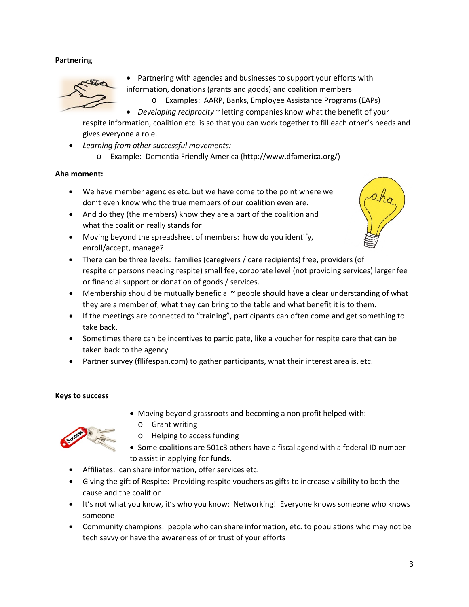# **Partnering**



• Partnering with agencies and businesses to support your efforts with information, donations (grants and goods) and coalition members o Examples: AARP, Banks, Employee Assistance Programs (EAPs)

• *Developing reciprocity* ~ letting companies know what the benefit of your respite information, coalition etc. is so that you can work together to fill each other's needs and

gives everyone a role.

- *Learning from other successful movements:*
	- o Example: Dementia Friendly America (http://www.dfamerica.org/)

#### **Aha moment:**

- We have member agencies etc. but we have come to the point where we don't even know who the true members of our coalition even are.
- And do they (the members) know they are a part of the coalition and what the coalition really stands for
- Moving beyond the spreadsheet of members: how do you identify, enroll/accept, manage?



- There can be three levels: families (caregivers / care recipients) free, providers (of respite or persons needing respite) small fee, corporate level (not providing services) larger fee or financial support or donation of goods / services.
- Membership should be mutually beneficial ~ people should have a clear understanding of what they are a member of, what they can bring to the table and what benefit it is to them.
- If the meetings are connected to "training", participants can often come and get something to take back.
- Sometimes there can be incentives to participate, like a voucher for respite care that can be taken back to the agency
- Partner survey (fllifespan.com) to gather participants, what their interest area is, etc.

#### **Keys to success**

- Moving beyond grassroots and becoming a non profit helped with:
- o Grant writing



- o Helping to access funding
- Some coalitions are 501c3 others have a fiscal agend with a federal ID number to assist in applying for funds.
- Affiliates: can share information, offer services etc.
- Giving the gift of Respite: Providing respite vouchers as gifts to increase visibility to both the cause and the coalition
- It's not what you know, it's who you know: Networking! Everyone knows someone who knows someone
- Community champions: people who can share information, etc. to populations who may not be tech savvy or have the awareness of or trust of your efforts